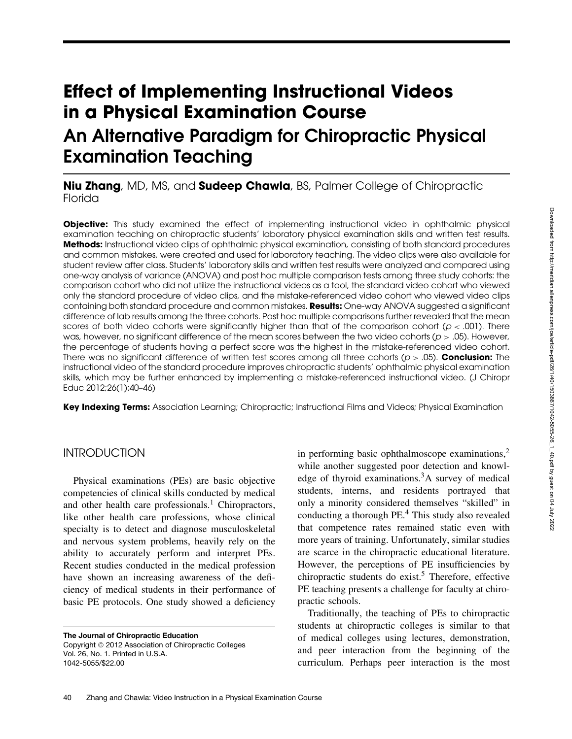# **Effect of Implementing Instructional Videos in a Physical Examination Course An Alternative Paradigm for Chiropractic Physical Examination Teaching**

# **Niu Zhang**, MD, MS, and **Sudeep Chawla**, BS, Palmer College of Chiropractic Florida

**Objective:** This study examined the effect of implementing instructional video in ophthalmic physical examination teaching on chiropractic students' laboratory physical examination skills and written test results. **Methods:** Instructional video clips of ophthalmic physical examination, consisting of both standard procedures and common mistakes, were created and used for laboratory teaching. The video clips were also available for student review after class. Students' laboratory skills and written test results were analyzed and compared using one-way analysis of variance (ANOVA) and post hoc multiple comparison tests among three study cohorts: the comparison cohort who did not utilize the instructional videos as a tool, the standard video cohort who viewed only the standard procedure of video clips, and the mistake-referenced video cohort who viewed video clips containing both standard procedure and common mistakes. **Results:** One-way ANOVA suggested a significant difference of lab results among the three cohorts. Post hoc multiple comparisons further revealed that the mean scores of both video cohorts were significantly higher than that of the comparison cohort ( $p < .001$ ). There was, however, no significant difference of the mean scores between the two video cohorts ( $p > .05$ ). However, the percentage of students having a perfect score was the highest in the mistake-referenced video cohort. There was no significant difference of written test scores among all three cohorts (p > .05). **Conclusion:** The instructional video of the standard procedure improves chiropractic students' ophthalmic physical examination skills, which may be further enhanced by implementing a mistake-referenced instructional video. (J Chiropr Educ 2012;26(1):40–46)

**Key Indexing Terms:** Association Learning; Chiropractic; Instructional Films and Videos; Physical Examination

## **INTRODUCTION**

Physical examinations (PEs) are basic objective competencies of clinical skills conducted by medical and other health care professionals.<sup>1</sup> Chiropractors, like other health care professions, whose clinical specialty is to detect and diagnose musculoskeletal and nervous system problems, heavily rely on the ability to accurately perform and interpret PEs. Recent studies conducted in the medical profession have shown an increasing awareness of the deficiency of medical students in their performance of basic PE protocols. One study showed a deficiency

**The Journal of Chiropractic Education** Copyright © 2012 Association of Chiropractic Colleges Vol. 26, No. 1. Printed in U.S.A. 1042-5055/\$22.00

in performing basic ophthalmoscope examinations, $<sup>2</sup>$ </sup> while another suggested poor detection and knowledge of thyroid examinations.<sup>3</sup>A survey of medical students, interns, and residents portrayed that only a minority considered themselves "skilled" in conducting a thorough PE.4 This study also revealed that competence rates remained static even with more years of training. Unfortunately, similar studies are scarce in the chiropractic educational literature. However, the perceptions of PE insufficiencies by chiropractic students do exist.<sup>5</sup> Therefore, effective PE teaching presents a challenge for faculty at chiropractic schools.

Traditionally, the teaching of PEs to chiropractic students at chiropractic colleges is similar to that of medical colleges using lectures, demonstration, and peer interaction from the beginning of the curriculum. Perhaps peer interaction is the most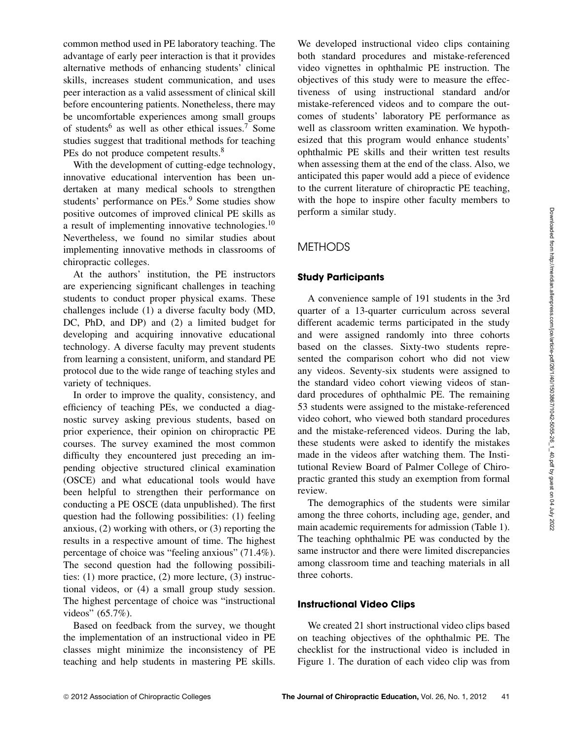common method used in PE laboratory teaching. The advantage of early peer interaction is that it provides alternative methods of enhancing students' clinical skills, increases student communication, and uses peer interaction as a valid assessment of clinical skill before encountering patients. Nonetheless, there may be uncomfortable experiences among small groups of students<sup>6</sup> as well as other ethical issues.<sup>7</sup> Some studies suggest that traditional methods for teaching PEs do not produce competent results.<sup>8</sup>

With the development of cutting-edge technology, innovative educational intervention has been undertaken at many medical schools to strengthen students' performance on PEs.<sup>9</sup> Some studies show positive outcomes of improved clinical PE skills as a result of implementing innovative technologies.<sup>10</sup> Nevertheless, we found no similar studies about implementing innovative methods in classrooms of chiropractic colleges.

At the authors' institution, the PE instructors are experiencing significant challenges in teaching students to conduct proper physical exams. These challenges include (1) a diverse faculty body (MD, DC, PhD, and DP) and (2) a limited budget for developing and acquiring innovative educational technology. A diverse faculty may prevent students from learning a consistent, uniform, and standard PE protocol due to the wide range of teaching styles and variety of techniques.

In order to improve the quality, consistency, and efficiency of teaching PEs, we conducted a diagnostic survey asking previous students, based on prior experience, their opinion on chiropractic PE courses. The survey examined the most common difficulty they encountered just preceding an impending objective structured clinical examination (OSCE) and what educational tools would have been helpful to strengthen their performance on conducting a PE OSCE (data unpublished). The first question had the following possibilities: (1) feeling anxious, (2) working with others, or (3) reporting the results in a respective amount of time. The highest percentage of choice was "feeling anxious" (71.4%). The second question had the following possibilities: (1) more practice, (2) more lecture, (3) instructional videos, or (4) a small group study session. The highest percentage of choice was "instructional videos" (65.7%).

Based on feedback from the survey, we thought the implementation of an instructional video in PE classes might minimize the inconsistency of PE teaching and help students in mastering PE skills. We developed instructional video clips containing both standard procedures and mistake-referenced video vignettes in ophthalmic PE instruction. The objectives of this study were to measure the effectiveness of using instructional standard and/or mistake-referenced videos and to compare the outcomes of students' laboratory PE performance as well as classroom written examination. We hypothesized that this program would enhance students' ophthalmic PE skills and their written test results when assessing them at the end of the class. Also, we anticipated this paper would add a piece of evidence to the current literature of chiropractic PE teaching, with the hope to inspire other faculty members to perform a similar study.

#### **METHODS**

#### **Study Participants**

A convenience sample of 191 students in the 3rd quarter of a 13-quarter curriculum across several different academic terms participated in the study and were assigned randomly into three cohorts based on the classes. Sixty-two students represented the comparison cohort who did not view any videos. Seventy-six students were assigned to the standard video cohort viewing videos of standard procedures of ophthalmic PE. The remaining 53 students were assigned to the mistake-referenced video cohort, who viewed both standard procedures and the mistake-referenced videos. During the lab, these students were asked to identify the mistakes made in the videos after watching them. The Institutional Review Board of Palmer College of Chiropractic granted this study an exemption from formal review.

The demographics of the students were similar among the three cohorts, including age, gender, and main academic requirements for admission (Table 1). The teaching ophthalmic PE was conducted by the same instructor and there were limited discrepancies among classroom time and teaching materials in all three cohorts.

#### **Instructional Video Clips**

We created 21 short instructional video clips based on teaching objectives of the ophthalmic PE. The checklist for the instructional video is included in Figure 1. The duration of each video clip was from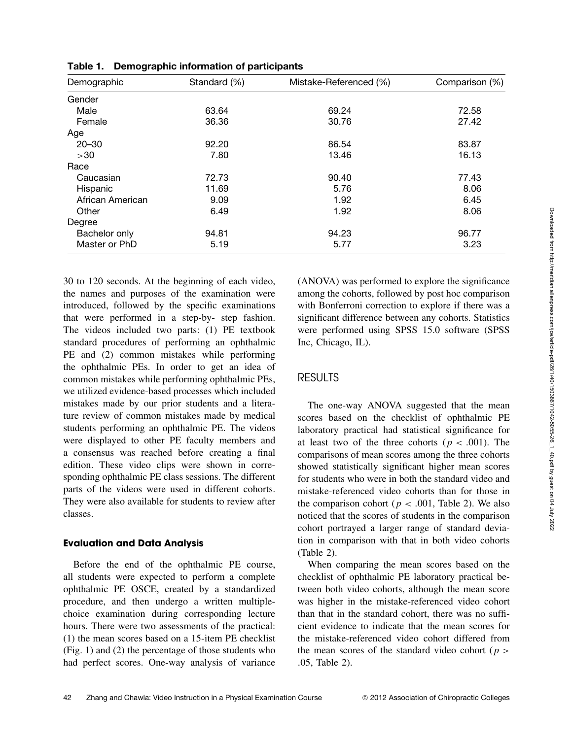| Demographic      | Standard (%) | Mistake-Referenced (%) | Comparison (%) |
|------------------|--------------|------------------------|----------------|
| Gender           |              |                        |                |
| Male             | 63.64        | 69.24                  | 72.58          |
| Female           | 36.36        | 30.76                  | 27.42          |
| Age              |              |                        |                |
| $20 - 30$        | 92.20        | 86.54                  | 83.87          |
| >30              | 7.80         | 13.46                  | 16.13          |
| Race             |              |                        |                |
| Caucasian        | 72.73        | 90.40                  | 77.43          |
| Hispanic         | 11.69        | 5.76                   | 8.06           |
| African American | 9.09         | 1.92                   | 6.45           |
| Other            | 6.49         | 1.92                   | 8.06           |
| Degree           |              |                        |                |
| Bachelor only    | 94.81        | 94.23                  | 96.77          |
| Master or PhD    | 5.19         | 5.77                   | 3.23           |

**Table 1. Demographic information of participants**

30 to 120 seconds. At the beginning of each video, the names and purposes of the examination were introduced, followed by the specific examinations that were performed in a step-by- step fashion. The videos included two parts: (1) PE textbook standard procedures of performing an ophthalmic PE and (2) common mistakes while performing the ophthalmic PEs. In order to get an idea of common mistakes while performing ophthalmic PEs, we utilized evidence-based processes which included mistakes made by our prior students and a literature review of common mistakes made by medical students performing an ophthalmic PE. The videos were displayed to other PE faculty members and a consensus was reached before creating a final edition. These video clips were shown in corresponding ophthalmic PE class sessions. The different parts of the videos were used in different cohorts. They were also available for students to review after classes.

#### **Evaluation and Data Analysis**

Before the end of the ophthalmic PE course, all students were expected to perform a complete ophthalmic PE OSCE, created by a standardized procedure, and then undergo a written multiplechoice examination during corresponding lecture hours. There were two assessments of the practical: (1) the mean scores based on a 15-item PE checklist (Fig. 1) and (2) the percentage of those students who had perfect scores. One-way analysis of variance

(ANOVA) was performed to explore the significance among the cohorts, followed by post hoc comparison with Bonferroni correction to explore if there was a significant difference between any cohorts. Statistics were performed using SPSS 15.0 software (SPSS Inc, Chicago, IL).

#### RESULTS

The one-way ANOVA suggested that the mean scores based on the checklist of ophthalmic PE laboratory practical had statistical significance for at least two of the three cohorts ( $p < .001$ ). The comparisons of mean scores among the three cohorts showed statistically significant higher mean scores for students who were in both the standard video and mistake-referenced video cohorts than for those in the comparison cohort ( $p < .001$ , Table 2). We also noticed that the scores of students in the comparison cohort portrayed a larger range of standard deviation in comparison with that in both video cohorts (Table 2).

When comparing the mean scores based on the checklist of ophthalmic PE laboratory practical between both video cohorts, although the mean score was higher in the mistake-referenced video cohort than that in the standard cohort, there was no sufficient evidence to indicate that the mean scores for the mistake-referenced video cohort differed from the mean scores of the standard video cohort ( $p >$ .05, Table 2).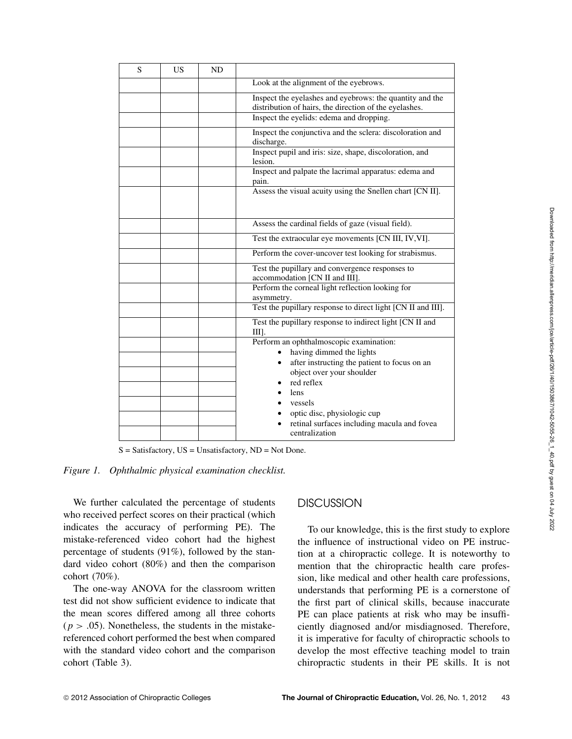| S | US | <b>ND</b> |                                                                                                                    |  |
|---|----|-----------|--------------------------------------------------------------------------------------------------------------------|--|
|   |    |           | Look at the alignment of the eyebrows.                                                                             |  |
|   |    |           | Inspect the eyelashes and eyebrows: the quantity and the<br>distribution of hairs, the direction of the eyelashes. |  |
|   |    |           | Inspect the eyelids: edema and dropping.                                                                           |  |
|   |    |           | Inspect the conjunctiva and the sclera: discoloration and<br>discharge.                                            |  |
|   |    |           | Inspect pupil and iris: size, shape, discoloration, and<br>lesion.                                                 |  |
|   |    |           | Inspect and palpate the lacrimal apparatus: edema and<br>pain.                                                     |  |
|   |    |           | Assess the visual acuity using the Snellen chart [CN II].                                                          |  |
|   |    |           | Assess the cardinal fields of gaze (visual field).                                                                 |  |
|   |    |           | Test the extraocular eye movements [CN III, IV, VI].                                                               |  |
|   |    |           | Perform the cover-uncover test looking for strabismus.                                                             |  |
|   |    |           | Test the pupillary and convergence responses to<br>accommodation [CN II and III].                                  |  |
|   |    |           | Perform the corneal light reflection looking for<br>asymmetry.                                                     |  |
|   |    |           | Test the pupillary response to direct light [CN II and III].                                                       |  |
|   |    |           | Test the pupillary response to indirect light [CN II and<br>Ш.                                                     |  |
|   |    |           | Perform an ophthalmoscopic examination:                                                                            |  |
|   |    |           | having dimmed the lights<br>after instructing the patient to focus on an                                           |  |
|   |    |           | object over your shoulder                                                                                          |  |
|   |    |           | red reflex                                                                                                         |  |
|   |    |           | lens<br>$\bullet$                                                                                                  |  |
|   |    |           | vessels                                                                                                            |  |
|   |    |           | optic disc, physiologic cup<br>retinal surfaces including macula and fovea<br>centralization                       |  |

 $S = Satisfactory, US = Unsatisfactory, ND = Not Done.$ 

*Figure 1. Ophthalmic physical examination checklist.*

We further calculated the percentage of students who received perfect scores on their practical (which indicates the accuracy of performing PE). The mistake-referenced video cohort had the highest percentage of students (91%), followed by the standard video cohort (80%) and then the comparison cohort (70%).

The one-way ANOVA for the classroom written test did not show sufficient evidence to indicate that the mean scores differed among all three cohorts  $(p > .05)$ . Nonetheless, the students in the mistakereferenced cohort performed the best when compared with the standard video cohort and the comparison cohort (Table 3).

#### **DISCUSSION**

To our knowledge, this is the first study to explore the influence of instructional video on PE instruction at a chiropractic college. It is noteworthy to mention that the chiropractic health care profession, like medical and other health care professions, understands that performing PE is a cornerstone of the first part of clinical skills, because inaccurate PE can place patients at risk who may be insufficiently diagnosed and/or misdiagnosed. Therefore, it is imperative for faculty of chiropractic schools to develop the most effective teaching model to train chiropractic students in their PE skills. It is not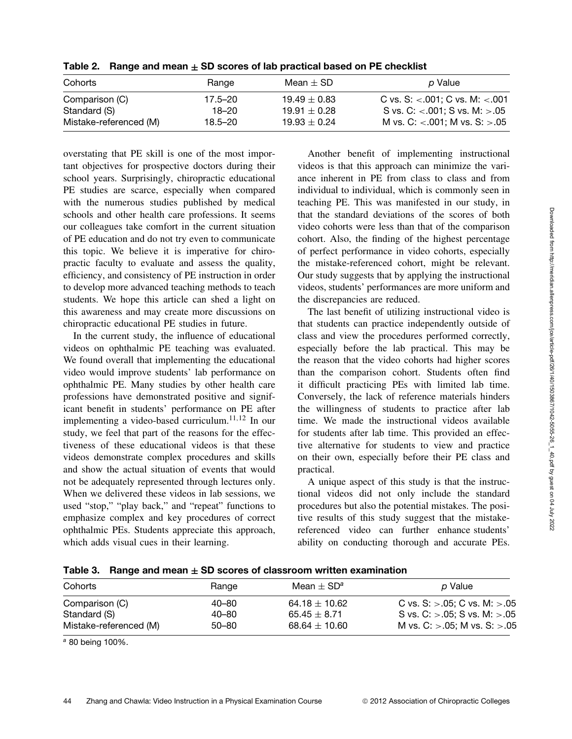|  | Table 2. $\;$ Range and mean $\pm$ SD scores of lab practical based on PE checklist |
|--|-------------------------------------------------------------------------------------|
|--|-------------------------------------------------------------------------------------|

| Cohorts                        | Range                | Mean $\pm$ SD                        | p Value                                                                       |
|--------------------------------|----------------------|--------------------------------------|-------------------------------------------------------------------------------|
| Comparison (C)<br>Standard (S) | 17.5–20<br>$18 - 20$ | $19.49 \pm 0.83$<br>$19.91 \pm 0.28$ | C vs. S: $< 001$ ; C vs. M: $< 001$<br>S vs. C: $< 0.001$ ; S vs. M: $> 0.05$ |
| Mistake-referenced (M)         | 18.5–20              | $19.93 \pm 0.24$                     | M vs. C: $< 0.001$ ; M vs. S: $> 0.05$                                        |

overstating that PE skill is one of the most important objectives for prospective doctors during their school years. Surprisingly, chiropractic educational PE studies are scarce, especially when compared with the numerous studies published by medical schools and other health care professions. It seems our colleagues take comfort in the current situation of PE education and do not try even to communicate this topic. We believe it is imperative for chiropractic faculty to evaluate and assess the quality, efficiency, and consistency of PE instruction in order to develop more advanced teaching methods to teach students. We hope this article can shed a light on this awareness and may create more discussions on chiropractic educational PE studies in future.

In the current study, the influence of educational videos on ophthalmic PE teaching was evaluated. We found overall that implementing the educational video would improve students' lab performance on ophthalmic PE. Many studies by other health care professions have demonstrated positive and significant benefit in students' performance on PE after implementing a video-based curriculum.<sup>11,12</sup> In our study, we feel that part of the reasons for the effectiveness of these educational videos is that these videos demonstrate complex procedures and skills and show the actual situation of events that would not be adequately represented through lectures only. When we delivered these videos in lab sessions, we used "stop," "play back," and "repeat" functions to emphasize complex and key procedures of correct ophthalmic PEs. Students appreciate this approach, which adds visual cues in their learning.

Another benefit of implementing instructional videos is that this approach can minimize the variance inherent in PE from class to class and from individual to individual, which is commonly seen in teaching PE. This was manifested in our study, in that the standard deviations of the scores of both video cohorts were less than that of the comparison cohort. Also, the finding of the highest percentage of perfect performance in video cohorts, especially the mistake-referenced cohort, might be relevant. Our study suggests that by applying the instructional videos, students' performances are more uniform and the discrepancies are reduced.

The last benefit of utilizing instructional video is that students can practice independently outside of class and view the procedures performed correctly, especially before the lab practical. This may be the reason that the video cohorts had higher scores than the comparison cohort. Students often find it difficult practicing PEs with limited lab time. Conversely, the lack of reference materials hinders the willingness of students to practice after lab time. We made the instructional videos available for students after lab time. This provided an effective alternative for students to view and practice on their own, especially before their PE class and practical.

A unique aspect of this study is that the instructional videos did not only include the standard procedures but also the potential mistakes. The positive results of this study suggest that the mistakereferenced video can further enhance students' ability on conducting thorough and accurate PEs.

| Range     | Mean $\pm$ SD <sup>a</sup> | p Value                                     |
|-----------|----------------------------|---------------------------------------------|
| 40–80     | $64.18 \pm 10.62$          | C vs. $S:$ > 05; C vs. M: $> 05$            |
| $40 - 80$ | 65.45 $\pm$ 8.71           | S vs. $C:$ > 05; S vs. M: > 05              |
| $50 - 80$ | 68.64 $\pm$ 10.60          | M vs. $C$ : $> 0.05$ ; M vs. $S$ : $> 0.05$ |
|           |                            |                                             |

**Table 3. Range and mean ± SD scores of classroom written examination**

*<sup>a</sup>* 80 being 100%.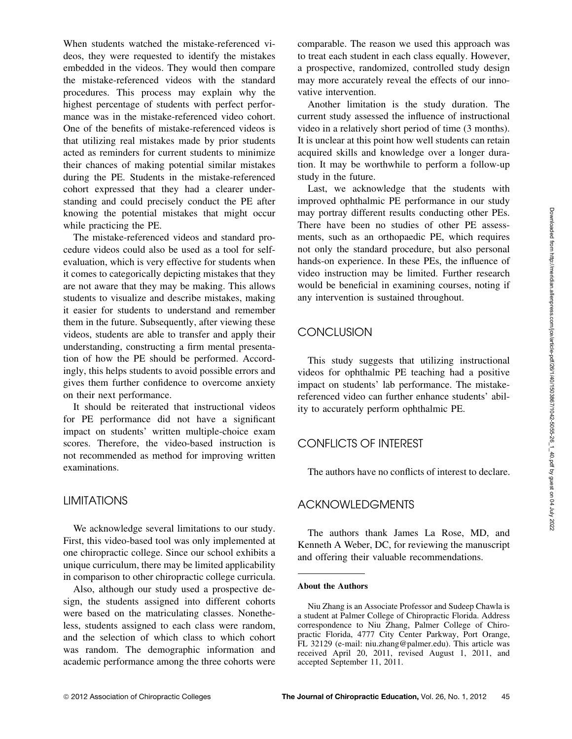When students watched the mistake-referenced videos, they were requested to identify the mistakes embedded in the videos. They would then compare the mistake-referenced videos with the standard procedures. This process may explain why the highest percentage of students with perfect performance was in the mistake-referenced video cohort. One of the benefits of mistake-referenced videos is that utilizing real mistakes made by prior students acted as reminders for current students to minimize their chances of making potential similar mistakes during the PE. Students in the mistake-referenced cohort expressed that they had a clearer understanding and could precisely conduct the PE after knowing the potential mistakes that might occur while practicing the PE.

The mistake-referenced videos and standard procedure videos could also be used as a tool for selfevaluation, which is very effective for students when it comes to categorically depicting mistakes that they are not aware that they may be making. This allows students to visualize and describe mistakes, making it easier for students to understand and remember them in the future. Subsequently, after viewing these videos, students are able to transfer and apply their understanding, constructing a firm mental presentation of how the PE should be performed. Accordingly, this helps students to avoid possible errors and gives them further confidence to overcome anxiety on their next performance.

It should be reiterated that instructional videos for PE performance did not have a significant impact on students' written multiple-choice exam scores. Therefore, the video-based instruction is not recommended as method for improving written examinations.

#### LIMITATIONS

We acknowledge several limitations to our study. First, this video-based tool was only implemented at one chiropractic college. Since our school exhibits a unique curriculum, there may be limited applicability in comparison to other chiropractic college curricula.

Also, although our study used a prospective design, the students assigned into different cohorts were based on the matriculating classes. Nonetheless, students assigned to each class were random, and the selection of which class to which cohort was random. The demographic information and academic performance among the three cohorts were comparable. The reason we used this approach was to treat each student in each class equally. However, a prospective, randomized, controlled study design may more accurately reveal the effects of our innovative intervention.

Another limitation is the study duration. The current study assessed the influence of instructional video in a relatively short period of time (3 months). It is unclear at this point how well students can retain acquired skills and knowledge over a longer duration. It may be worthwhile to perform a follow-up study in the future.

Last, we acknowledge that the students with improved ophthalmic PE performance in our study may portray different results conducting other PEs. There have been no studies of other PE assessments, such as an orthopaedic PE, which requires not only the standard procedure, but also personal hands-on experience. In these PEs, the influence of video instruction may be limited. Further research would be beneficial in examining courses, noting if any intervention is sustained throughout.

# **CONCLUSION**

This study suggests that utilizing instructional videos for ophthalmic PE teaching had a positive impact on students' lab performance. The mistakereferenced video can further enhance students' ability to accurately perform ophthalmic PE.

#### CONFLICTS OF INTEREST

The authors have no conflicts of interest to declare.

# ACKNOWLEDGMENTS

The authors thank James La Rose, MD, and Kenneth A Weber, DC, for reviewing the manuscript and offering their valuable recommendations.

#### **About the Authors**

Niu Zhang is an Associate Professor and Sudeep Chawla is a student at Palmer College of Chiropractic Florida. Address correspondence to Niu Zhang, Palmer College of Chiropractic Florida, 4777 City Center Parkway, Port Orange, FL 32129 (e-mail: niu.zhang@palmer.edu). This article was received April 20, 2011, revised August 1, 2011, and accepted September 11, 2011.